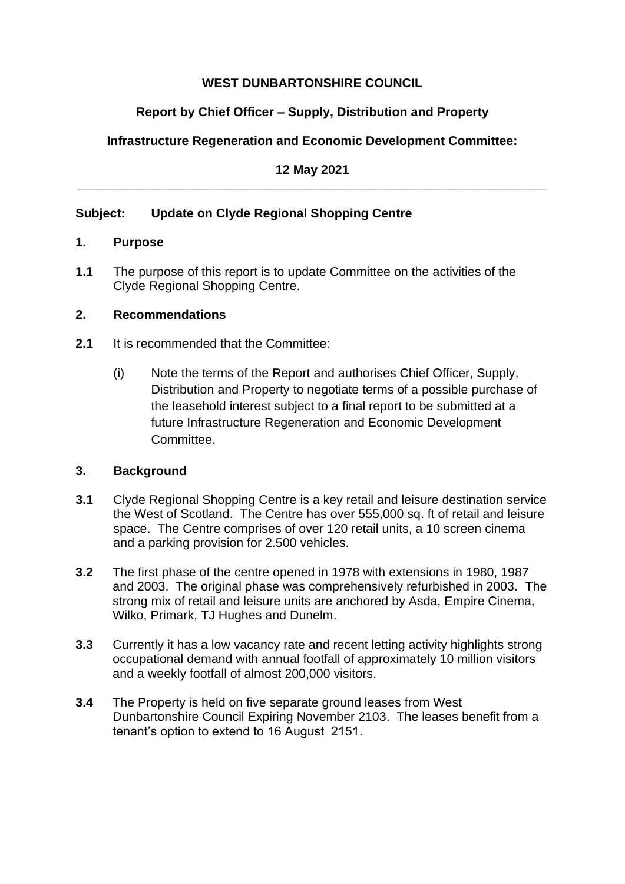# **WEST DUNBARTONSHIRE COUNCIL**

# **Report by Chief Officer – Supply, Distribution and Property**

# **Infrastructure Regeneration and Economic Development Committee:**

## **12 May 2021 \_\_\_\_\_\_\_\_\_\_\_\_\_\_\_\_\_\_\_\_\_\_\_\_\_\_\_\_\_\_\_\_\_\_\_\_\_\_\_\_\_\_\_\_\_\_\_\_\_\_\_\_\_\_\_\_\_\_\_\_\_\_\_\_\_\_\_**

# **Subject: Update on Clyde Regional Shopping Centre**

# **1. Purpose**

**1.1** The purpose of this report is to update Committee on the activities of the Clyde Regional Shopping Centre.

# **2. Recommendations**

- **2.1** It is recommended that the Committee:
	- (i) Note the terms of the Report and authorises Chief Officer, Supply, Distribution and Property to negotiate terms of a possible purchase of the leasehold interest subject to a final report to be submitted at a future Infrastructure Regeneration and Economic Development Committee.

## **3. Background**

- **3.1** Clyde Regional Shopping Centre is a key retail and leisure destination service the West of Scotland. The Centre has over 555,000 sq. ft of retail and leisure space. The Centre comprises of over 120 retail units, a 10 screen cinema and a parking provision for 2.500 vehicles.
- **3.2** The first phase of the centre opened in 1978 with extensions in 1980, 1987 and 2003. The original phase was comprehensively refurbished in 2003. The strong mix of retail and leisure units are anchored by Asda, Empire Cinema, Wilko, Primark, TJ Hughes and Dunelm.
- **3.3** Currently it has a low vacancy rate and recent letting activity highlights strong occupational demand with annual footfall of approximately 10 million visitors and a weekly footfall of almost 200,000 visitors.
- **3.4** The Property is held on five separate ground leases from West Dunbartonshire Council Expiring November 2103. The leases benefit from a tenant's option to extend to 16 August 2151.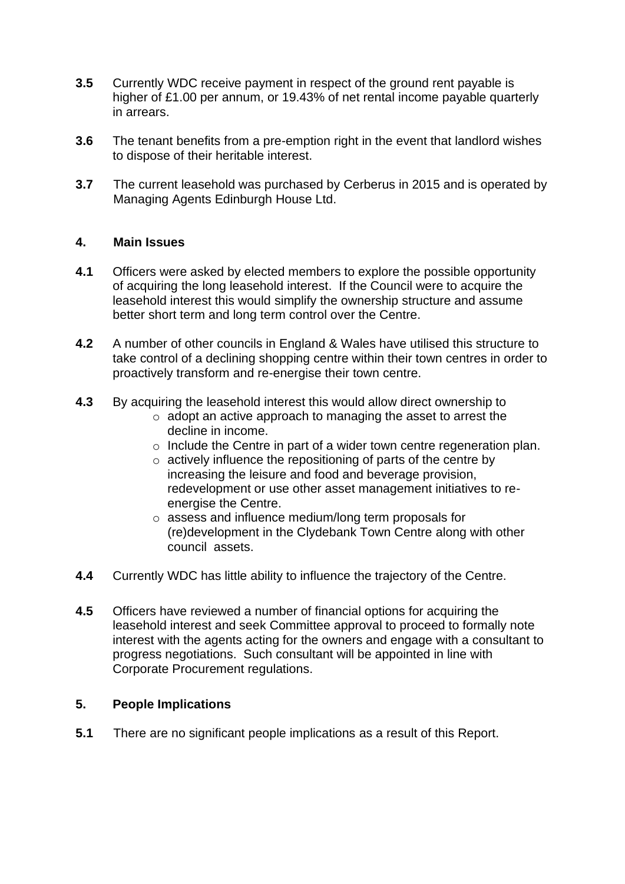- **3.5** Currently WDC receive payment in respect of the ground rent payable is higher of £1.00 per annum, or 19.43% of net rental income payable quarterly in arrears.
- **3.6** The tenant benefits from a pre-emption right in the event that landlord wishes to dispose of their heritable interest.
- **3.7** The current leasehold was purchased by Cerberus in 2015 and is operated by Managing Agents Edinburgh House Ltd.

# **4. Main Issues**

- **4.1** Officers were asked by elected members to explore the possible opportunity of acquiring the long leasehold interest. If the Council were to acquire the leasehold interest this would simplify the ownership structure and assume better short term and long term control over the Centre.
- **4.2** A number of other councils in England & Wales have utilised this structure to take control of a declining shopping centre within their town centres in order to proactively transform and re-energise their town centre.
- **4.3** By acquiring the leasehold interest this would allow direct ownership to
	- o adopt an active approach to managing the asset to arrest the decline in income.
	- o Include the Centre in part of a wider town centre regeneration plan.
	- o actively influence the repositioning of parts of the centre by increasing the leisure and food and beverage provision, redevelopment or use other asset management initiatives to reenergise the Centre.
	- o assess and influence medium/long term proposals for (re)development in the Clydebank Town Centre along with other council assets.
- **4.4** Currently WDC has little ability to influence the trajectory of the Centre.
- **4.5** Officers have reviewed a number of financial options for acquiring the leasehold interest and seek Committee approval to proceed to formally note interest with the agents acting for the owners and engage with a consultant to progress negotiations. Such consultant will be appointed in line with Corporate Procurement regulations.

## **5. People Implications**

**5.1** There are no significant people implications as a result of this Report.